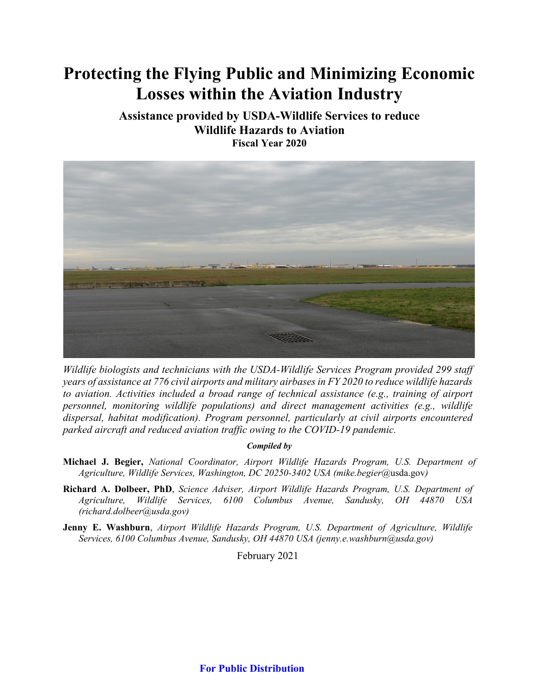# **Protecting the Flying Public and Minimizing Economic Losses within the Aviation Industry**

**Assistance provided by USDA-Wildlife Services to reduce Wildlife Hazards to Aviation Fiscal Year 2020**



*Wildlife biologists and technicians with the USDA-Wildlife Services Program provided 299 staff years of assistance at 776 civil airports and military airbases in FY 2020 to reduce wildlife hazards to aviation. Activities included a broad range of technical assistance (e.g., training of airport personnel, monitoring wildlife populations) and direct management activities (e.g., wildlife dispersal, habitat modification). Program personnel, particularly at civil airports encountered parked aircraft and reduced aviation traffic owing to the COVID-19 pandemic.* 

#### *Compiled by*

- **Michael J. Begier,** *National Coordinator, Airport Wildlife Hazards Program, U.S. Department of Agriculture, Wildlife Services, Washington, DC 20250-3402 USA (mike.begier*[@usda.gov](mailto:richard.a.dolbeer@usda.gov)*)*
- **Richard A. Dolbeer, PhD**, *Science Adviser, Airport Wildlife Hazards Program, U.S. Department of Agriculture, Wildlife Services, 6100 Columbus Avenue, Sandusky, OH 44870 USA (richard.dolbeer@usda.gov)*
- **Jenny E. Washburn**, *Airport Wildlife Hazards Program, U.S. Department of Agriculture, Wildlife Services, 6100 Columbus Avenue, Sandusky, OH 44870 USA (jenny.e.washburn@usda.gov)*

February 2021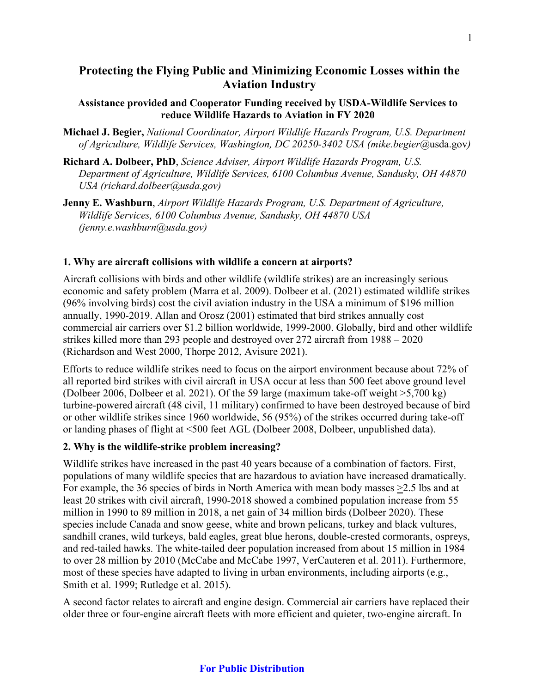## **Protecting the Flying Public and Minimizing Economic Losses within the Aviation Industry**

## **Assistance provided and Cooperator Funding received by USDA-Wildlife Services to reduce Wildlife Hazards to Aviation in FY 2020**

**Michael J. Begier,** *National Coordinator, Airport Wildlife Hazards Program, U.S. Department of Agriculture, Wildlife Services, Washington, DC 20250-3402 USA (mike.begier*[@usda.gov](mailto:richard.a.dolbeer@usda.gov)*)*

- **Richard A. Dolbeer, PhD**, *Science Adviser, Airport Wildlife Hazards Program, U.S. Department of Agriculture, Wildlife Services, 6100 Columbus Avenue, Sandusky, OH 44870 USA (richard.dolbeer@usda.gov)*
- **Jenny E. Washburn**, *Airport Wildlife Hazards Program, U.S. Department of Agriculture, Wildlife Services, 6100 Columbus Avenue, Sandusky, OH 44870 USA (jenny.e.washburn@usda.gov)*

## **1. Why are aircraft collisions with wildlife a concern at airports?**

Aircraft collisions with birds and other wildlife (wildlife strikes) are an increasingly serious economic and safety problem (Marra et al. 2009). Dolbeer et al. (2021) estimated wildlife strikes (96% involving birds) cost the civil aviation industry in the USA a minimum of \$196 million annually, 1990-2019. Allan and Orosz (2001) estimated that bird strikes annually cost commercial air carriers over \$1.2 billion worldwide, 1999-2000. Globally, bird and other wildlife strikes killed more than 293 people and destroyed over 272 aircraft from 1988 – 2020 (Richardson and West 2000, Thorpe 2012, Avisure 2021).

Efforts to reduce wildlife strikes need to focus on the airport environment because about 72% of all reported bird strikes with civil aircraft in USA occur at less than 500 feet above ground level (Dolbeer 2006, Dolbeer et al. 2021). Of the 59 large (maximum take-off weight >5,700 kg) turbine-powered aircraft (48 civil, 11 military) confirmed to have been destroyed because of bird or other wildlife strikes since 1960 worldwide, 56 (95%) of the strikes occurred during take-off or landing phases of flight at <500 feet AGL (Dolbeer 2008, Dolbeer, unpublished data).

#### **2. Why is the wildlife-strike problem increasing?**

Wildlife strikes have increased in the past 40 years because of a combination of factors. First, populations of many wildlife species that are hazardous to aviation have increased dramatically. For example, the 36 species of birds in North America with mean body masses >2.5 lbs and at least 20 strikes with civil aircraft, 1990-2018 showed a combined population increase from 55 million in 1990 to 89 million in 2018, a net gain of 34 million birds (Dolbeer 2020). These species include Canada and snow geese, white and brown pelicans, turkey and black vultures, sandhill cranes, wild turkeys, bald eagles, great blue herons, double-crested cormorants, ospreys, and red-tailed hawks. The white-tailed deer population increased from about 15 million in 1984 to over 28 million by 2010 (McCabe and McCabe 1997, VerCauteren et al. 2011). Furthermore, most of these species have adapted to living in urban environments, including airports (e.g., Smith et al. 1999; Rutledge et al. 2015).

A second factor relates to aircraft and engine design. Commercial air carriers have replaced their older three or four-engine aircraft fleets with more efficient and quieter, two-engine aircraft. In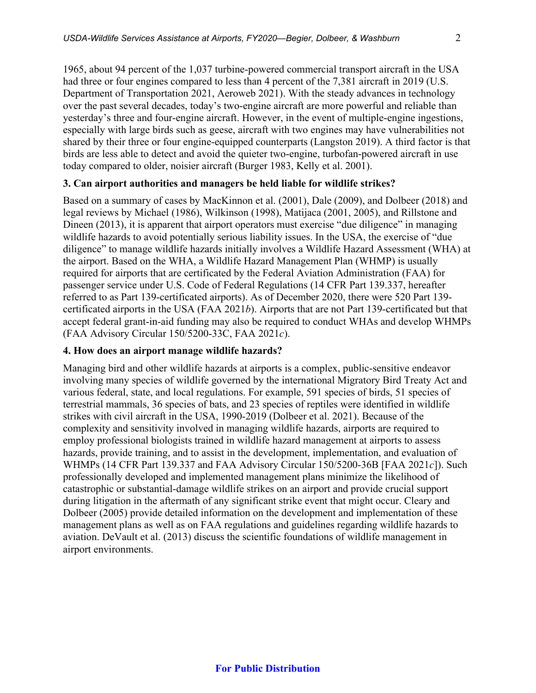1965, about 94 percent of the 1,037 turbine-powered commercial transport aircraft in the USA had three or four engines compared to less than 4 percent of the 7,381 aircraft in 2019 (U.S. Department of Transportation 2021, Aeroweb 2021). With the steady advances in technology over the past several decades, today's two-engine aircraft are more powerful and reliable than yesterday's three and four-engine aircraft. However, in the event of multiple-engine ingestions, especially with large birds such as geese, aircraft with two engines may have vulnerabilities not shared by their three or four engine-equipped counterparts (Langston 2019). A third factor is that birds are less able to detect and avoid the quieter two-engine, turbofan-powered aircraft in use today compared to older, noisier aircraft (Burger 1983, Kelly et al. 2001).

#### **3. Can airport authorities and managers be held liable for wildlife strikes?**

Based on a summary of cases by MacKinnon et al. (2001), Dale (2009), and Dolbeer (2018) and legal reviews by Michael (1986), Wilkinson (1998), Matijaca (2001, 2005), and Rillstone and Dineen (2013), it is apparent that airport operators must exercise "due diligence" in managing wildlife hazards to avoid potentially serious liability issues. In the USA, the exercise of "due diligence" to manage wildlife hazards initially involves a Wildlife Hazard Assessment (WHA) at the airport. Based on the WHA, a Wildlife Hazard Management Plan (WHMP) is usually required for airports that are certificated by the Federal Aviation Administration (FAA) for passenger service under U.S. Code of Federal Regulations (14 CFR Part 139.337, hereafter referred to as Part 139-certificated airports). As of December 2020, there were 520 Part 139 certificated airports in the USA (FAA 2021*b*). Airports that are not Part 139-certificated but that accept federal grant-in-aid funding may also be required to conduct WHAs and develop WHMPs (FAA Advisory Circular 150/5200-33C, FAA 2021*c*).

#### **4. How does an airport manage wildlife hazards?**

Managing bird and other wildlife hazards at airports is a complex, public-sensitive endeavor involving many species of wildlife governed by the international Migratory Bird Treaty Act and various federal, state, and local regulations. For example, 591 species of birds, 51 species of terrestrial mammals, 36 species of bats, and 23 species of reptiles were identified in wildlife strikes with civil aircraft in the USA, 1990-2019 (Dolbeer et al. 2021). Because of the complexity and sensitivity involved in managing wildlife hazards, airports are required to employ professional biologists trained in wildlife hazard management at airports to assess hazards, provide training, and to assist in the development, implementation, and evaluation of WHMPs (14 CFR Part 139.337 and FAA Advisory Circular 150/5200-36B [FAA 2021*c*]). Such professionally developed and implemented management plans minimize the likelihood of catastrophic or substantial-damage wildlife strikes on an airport and provide crucial support during litigation in the aftermath of any significant strike event that might occur. Cleary and Dolbeer (2005) provide detailed information on the development and implementation of these management plans as well as on FAA regulations and guidelines regarding wildlife hazards to aviation. DeVault et al. (2013) discuss the scientific foundations of wildlife management in airport environments.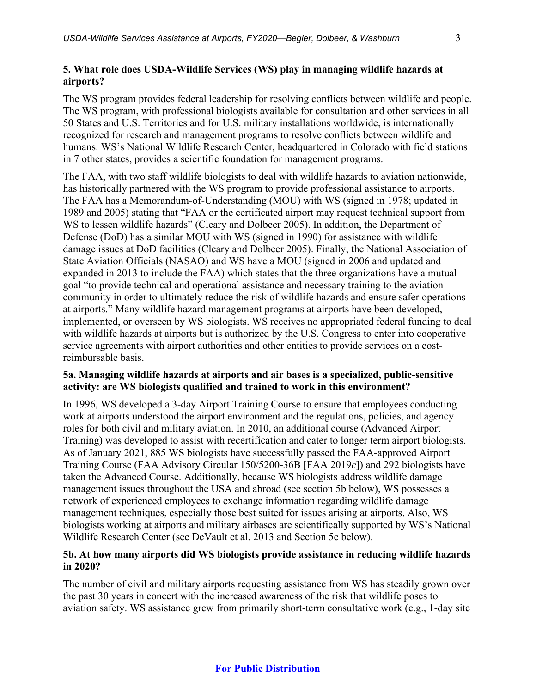## **5. What role does USDA-Wildlife Services (WS) play in managing wildlife hazards at airports?**

The WS program provides federal leadership for resolving conflicts between wildlife and people. The WS program, with professional biologists available for consultation and other services in all 50 States and U.S. Territories and for U.S. military installations worldwide, is internationally recognized for research and management programs to resolve conflicts between wildlife and humans. WS's National Wildlife Research Center, headquartered in Colorado with field stations in 7 other states, provides a scientific foundation for management programs.

The FAA, with two staff wildlife biologists to deal with wildlife hazards to aviation nationwide, has historically partnered with the WS program to provide professional assistance to airports. The FAA has a Memorandum-of-Understanding (MOU) with WS (signed in 1978; updated in 1989 and 2005) stating that "FAA or the certificated airport may request technical support from WS to lessen wildlife hazards" (Cleary and Dolbeer 2005). In addition, the Department of Defense (DoD) has a similar MOU with WS (signed in 1990) for assistance with wildlife damage issues at DoD facilities (Cleary and Dolbeer 2005). Finally, the National Association of State Aviation Officials (NASAO) and WS have a MOU (signed in 2006 and updated and expanded in 2013 to include the FAA) which states that the three organizations have a mutual goal "to provide technical and operational assistance and necessary training to the aviation community in order to ultimately reduce the risk of wildlife hazards and ensure safer operations at airports." Many wildlife hazard management programs at airports have been developed, implemented, or overseen by WS biologists. WS receives no appropriated federal funding to deal with wildlife hazards at airports but is authorized by the U.S. Congress to enter into cooperative service agreements with airport authorities and other entities to provide services on a costreimbursable basis.

## **5a. Managing wildlife hazards at airports and air bases is a specialized, public-sensitive activity: are WS biologists qualified and trained to work in this environment?**

In 1996, WS developed a 3-day Airport Training Course to ensure that employees conducting work at airports understood the airport environment and the regulations, policies, and agency roles for both civil and military aviation. In 2010, an additional course (Advanced Airport Training) was developed to assist with recertification and cater to longer term airport biologists. As of January 2021, 885 WS biologists have successfully passed the FAA-approved Airport Training Course (FAA Advisory Circular 150/5200-36B [FAA 2019*c*]) and 292 biologists have taken the Advanced Course. Additionally, because WS biologists address wildlife damage management issues throughout the USA and abroad (see section 5b below), WS possesses a network of experienced employees to exchange information regarding wildlife damage management techniques, especially those best suited for issues arising at airports. Also, WS biologists working at airports and military airbases are scientifically supported by WS's National Wildlife Research Center (see DeVault et al. 2013 and Section 5e below).

## **5b. At how many airports did WS biologists provide assistance in reducing wildlife hazards in 2020?**

The number of civil and military airports requesting assistance from WS has steadily grown over the past 30 years in concert with the increased awareness of the risk that wildlife poses to aviation safety. WS assistance grew from primarily short-term consultative work (e.g., 1-day site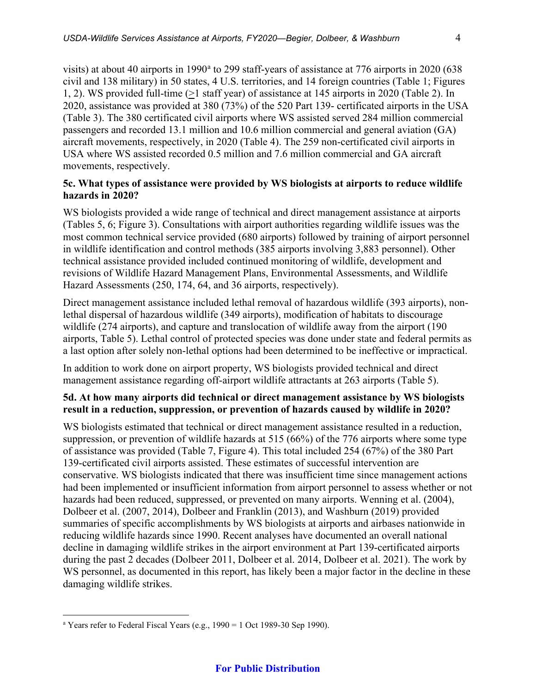visits) [a](#page-4-0)t about 40 airports in 1990<sup> $a$ </sup> to 299 staff-years of assistance at 776 airports in 2020 (638) civil and 138 military) in 50 states, 4 U.S. territories, and 14 foreign countries (Table 1; Figures 1, 2). WS provided full-time (>1 staff year) of assistance at 145 airports in 2020 (Table 2). In 2020, assistance was provided at 380 (73%) of the 520 Part 139- certificated airports in the USA (Table 3). The 380 certificated civil airports where WS assisted served 284 million commercial passengers and recorded 13.1 million and 10.6 million commercial and general aviation (GA) aircraft movements, respectively, in 2020 (Table 4). The 259 non-certificated civil airports in USA where WS assisted recorded 0.5 million and 7.6 million commercial and GA aircraft movements, respectively.

## **5c. What types of assistance were provided by WS biologists at airports to reduce wildlife hazards in 2020?**

WS biologists provided a wide range of technical and direct management assistance at airports (Tables 5, 6; Figure 3). Consultations with airport authorities regarding wildlife issues was the most common technical service provided (680 airports) followed by training of airport personnel in wildlife identification and control methods (385 airports involving 3,883 personnel). Other technical assistance provided included continued monitoring of wildlife, development and revisions of Wildlife Hazard Management Plans, Environmental Assessments, and Wildlife Hazard Assessments (250, 174, 64, and 36 airports, respectively).

Direct management assistance included lethal removal of hazardous wildlife (393 airports), nonlethal dispersal of hazardous wildlife (349 airports), modification of habitats to discourage wildlife (274 airports), and capture and translocation of wildlife away from the airport (190 airports, Table 5). Lethal control of protected species was done under state and federal permits as a last option after solely non-lethal options had been determined to be ineffective or impractical.

In addition to work done on airport property, WS biologists provided technical and direct management assistance regarding off-airport wildlife attractants at 263 airports (Table 5).

## **5d. At how many airports did technical or direct management assistance by WS biologists result in a reduction, suppression, or prevention of hazards caused by wildlife in 2020?**

WS biologists estimated that technical or direct management assistance resulted in a reduction, suppression, or prevention of wildlife hazards at 515 (66%) of the 776 airports where some type of assistance was provided (Table 7, Figure 4). This total included 254 (67%) of the 380 Part 139-certificated civil airports assisted. These estimates of successful intervention are conservative. WS biologists indicated that there was insufficient time since management actions had been implemented or insufficient information from airport personnel to assess whether or not hazards had been reduced, suppressed, or prevented on many airports. Wenning et al. (2004), Dolbeer et al. (2007, 2014), Dolbeer and Franklin (2013), and Washburn (2019) provided summaries of specific accomplishments by WS biologists at airports and airbases nationwide in reducing wildlife hazards since 1990. Recent analyses have documented an overall national decline in damaging wildlife strikes in the airport environment at Part 139-certificated airports during the past 2 decades (Dolbeer 2011, Dolbeer et al. 2014, Dolbeer et al. 2021). The work by WS personnel, as documented in this report, has likely been a major factor in the decline in these damaging wildlife strikes.

<span id="page-4-0"></span><sup>&</sup>lt;sup>a</sup> Years refer to Federal Fiscal Years (e.g.,  $1990 = 1$  Oct 1989-30 Sep 1990).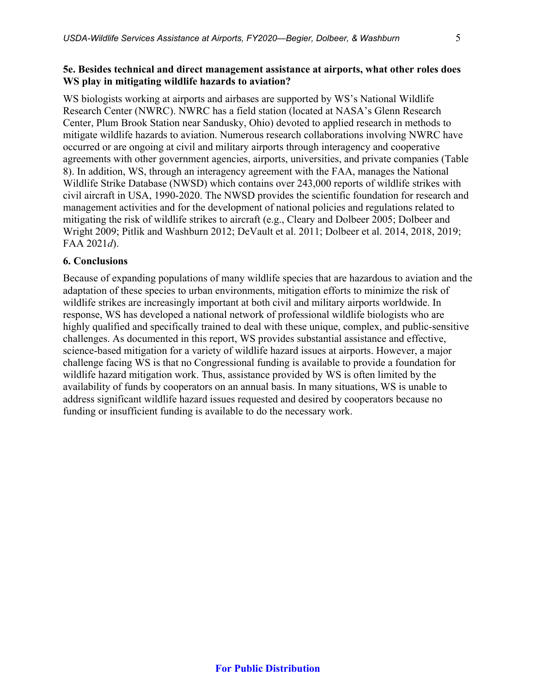## **5e. Besides technical and direct management assistance at airports, what other roles does WS play in mitigating wildlife hazards to aviation?**

WS biologists working at airports and airbases are supported by WS's National Wildlife Research Center (NWRC). NWRC has a field station (located at NASA's Glenn Research Center, Plum Brook Station near Sandusky, Ohio) devoted to applied research in methods to mitigate wildlife hazards to aviation. Numerous research collaborations involving NWRC have occurred or are ongoing at civil and military airports through interagency and cooperative agreements with other government agencies, airports, universities, and private companies (Table 8). In addition, WS, through an interagency agreement with the FAA, manages the National Wildlife Strike Database (NWSD) which contains over 243,000 reports of wildlife strikes with civil aircraft in USA, 1990-2020. The NWSD provides the scientific foundation for research and management activities and for the development of national policies and regulations related to mitigating the risk of wildlife strikes to aircraft (e.g., Cleary and Dolbeer 2005; Dolbeer and Wright 2009; Pitlik and Washburn 2012; DeVault et al. 2011; Dolbeer et al. 2014, 2018, 2019; FAA 2021*d*).

## **6. Conclusions**

Because of expanding populations of many wildlife species that are hazardous to aviation and the adaptation of these species to urban environments, mitigation efforts to minimize the risk of wildlife strikes are increasingly important at both civil and military airports worldwide. In response, WS has developed a national network of professional wildlife biologists who are highly qualified and specifically trained to deal with these unique, complex, and public-sensitive challenges. As documented in this report, WS provides substantial assistance and effective, science-based mitigation for a variety of wildlife hazard issues at airports. However, a major challenge facing WS is that no Congressional funding is available to provide a foundation for wildlife hazard mitigation work. Thus, assistance provided by WS is often limited by the availability of funds by cooperators on an annual basis. In many situations, WS is unable to address significant wildlife hazard issues requested and desired by cooperators because no funding or insufficient funding is available to do the necessary work.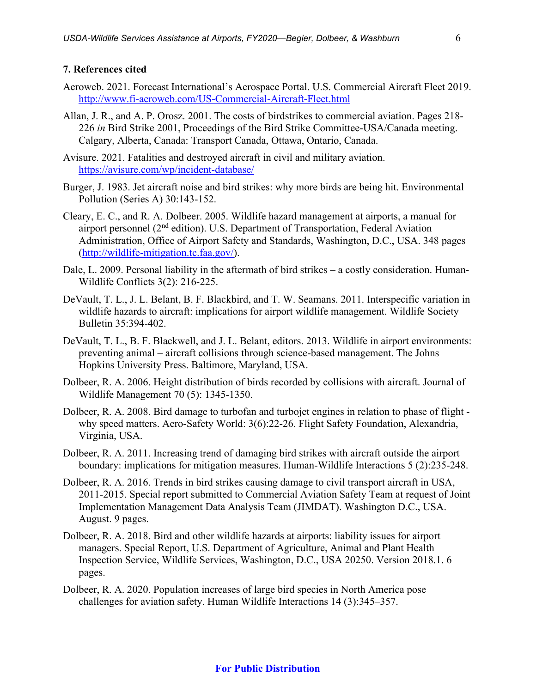#### **7. References cited**

- Aeroweb. 2021. Forecast International's Aerospace Portal. U.S. Commercial Aircraft Fleet 2019. <http://www.fi-aeroweb.com/US-Commercial-Aircraft-Fleet.html>
- Allan, J. R., and A. P. Orosz. 2001. The costs of birdstrikes to commercial aviation. Pages 218- 226 *in* Bird Strike 2001, Proceedings of the Bird Strike Committee-USA/Canada meeting. Calgary, Alberta, Canada: Transport Canada, Ottawa, Ontario, Canada.
- Avisure. 2021. Fatalities and destroyed aircraft in civil and military aviation. <https://avisure.com/wp/incident-database/>
- Burger, J. 1983. Jet aircraft noise and bird strikes: why more birds are being hit. Environmental Pollution (Series A) 30:143-152.
- Cleary, E. C., and R. A. Dolbeer. 2005. Wildlife hazard management at airports, a manual for airport personnel (2nd edition). U.S. Department of Transportation, Federal Aviation Administration, Office of Airport Safety and Standards, Washington, D.C., USA. 348 pages [\(http://wildlife-mitigation.tc.faa.gov/\)](http://wildlife-mitigation.tc.faa.gov/).
- Dale, L. 2009. Personal liability in the aftermath of bird strikes a costly consideration. Human-Wildlife Conflicts 3(2): 216-225.
- DeVault, T. L., J. L. Belant, B. F. Blackbird, and T. W. Seamans. 2011. Interspecific variation in wildlife hazards to aircraft: implications for airport wildlife management. Wildlife Society Bulletin 35:394-402.
- DeVault, T. L., B. F. Blackwell, and J. L. Belant, editors. 2013. Wildlife in airport environments: preventing animal – aircraft collisions through science-based management. The Johns Hopkins University Press. Baltimore, Maryland, USA.
- Dolbeer, R. A. 2006. Height distribution of birds recorded by collisions with aircraft. Journal of Wildlife Management 70 (5): 1345-1350.
- Dolbeer, R. A. 2008. Bird damage to turbofan and turbojet engines in relation to phase of flight why speed matters. Aero-Safety World: 3(6):22-26. Flight Safety Foundation, Alexandria, Virginia, USA.
- Dolbeer, R. A. 2011. Increasing trend of damaging bird strikes with aircraft outside the airport boundary: implications for mitigation measures. Human-Wildlife Interactions 5 (2):235-248.
- Dolbeer, R. A. 2016. Trends in bird strikes causing damage to civil transport aircraft in USA, 2011-2015. Special report submitted to Commercial Aviation Safety Team at request of Joint Implementation Management Data Analysis Team (JIMDAT). Washington D.C., USA. August. 9 pages.
- Dolbeer, R. A. 2018. Bird and other wildlife hazards at airports: liability issues for airport managers. Special Report, U.S. Department of Agriculture, Animal and Plant Health Inspection Service, Wildlife Services, Washington, D.C., USA 20250. Version 2018.1. 6 pages.
- Dolbeer, R. A. 2020. Population increases of large bird species in North America pose challenges for aviation safety. Human Wildlife Interactions 14 (3):345–357.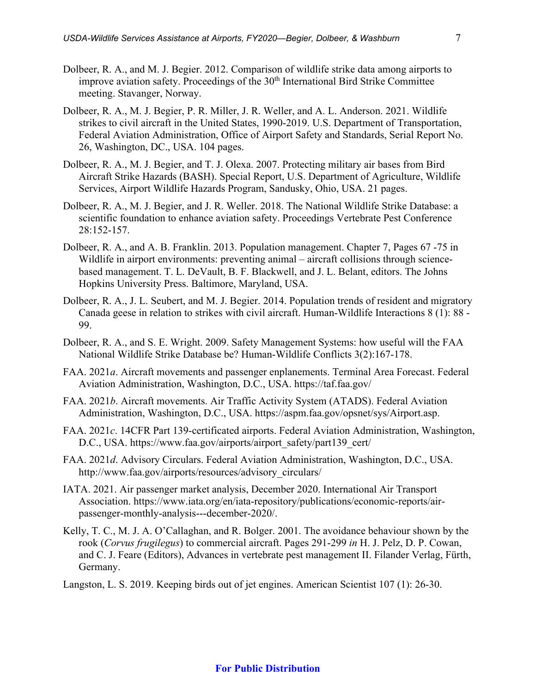- Dolbeer, R. A., and M. J. Begier. 2012. Comparison of wildlife strike data among airports to improve aviation safety. Proceedings of the 30<sup>th</sup> International Bird Strike Committee meeting. Stavanger, Norway.
- Dolbeer, R. A., M. J. Begier, P. R. Miller, J. R. Weller, and A. L. Anderson. 2021. Wildlife strikes to civil aircraft in the United States, 1990-2019. U.S. Department of Transportation, Federal Aviation Administration, Office of Airport Safety and Standards, Serial Report No. 26, Washington, DC., USA. 104 pages.
- Dolbeer, R. A., M. J. Begier, and T. J. Olexa. 2007. Protecting military air bases from Bird Aircraft Strike Hazards (BASH). Special Report, U.S. Department of Agriculture, Wildlife Services, Airport Wildlife Hazards Program, Sandusky, Ohio, USA. 21 pages.
- Dolbeer, R. A., M. J. Begier, and J. R. Weller. 2018. The National Wildlife Strike Database: a scientific foundation to enhance aviation safety. Proceedings Vertebrate Pest Conference 28:152-157.
- Dolbeer, R. A., and A. B. Franklin. 2013. Population management. Chapter 7, Pages 67 -75 in Wildlife in airport environments: preventing animal – aircraft collisions through sciencebased management. T. L. DeVault, B. F. Blackwell, and J. L. Belant, editors. The Johns Hopkins University Press. Baltimore, Maryland, USA.
- Dolbeer, R. A., J. L. Seubert, and M. J. Begier. 2014. Population trends of resident and migratory Canada geese in relation to strikes with civil aircraft. Human-Wildlife Interactions 8 (1): 88 - 99.
- Dolbeer, R. A., and S. E. Wright. 2009. Safety Management Systems: how useful will the FAA National Wildlife Strike Database be? Human-Wildlife Conflicts 3(2):167-178.
- FAA. 2021*a*. Aircraft movements and passenger enplanements. Terminal Area Forecast. Federal Aviation Administration, Washington, D.C., USA. https://taf.faa.gov/
- FAA. 2021*b*. Aircraft movements. Air Traffic Activity System (ATADS). Federal Aviation Administration, Washington, D.C., USA. https://aspm.faa.gov/opsnet/sys/Airport.asp.
- FAA. 2021*c*. 14CFR Part 139-certificated airports. Federal Aviation Administration, Washington, D.C., USA. https://www.faa.gov/airports/airport\_safety/part139\_cert/
- FAA. 2021*d*. Advisory Circulars. Federal Aviation Administration, Washington, D.C., USA. http://www.faa.gov/airports/resources/advisory\_circulars/
- IATA. 2021. Air passenger market analysis, December 2020. International Air Transport Association. https://www.iata.org/en/iata-repository/publications/economic-reports/airpassenger-monthly-analysis---december-2020/.
- Kelly, T. C., M. J. A. O'Callaghan, and R. Bolger. 2001. The avoidance behaviour shown by the rook (*Corvus frugilegus*) to commercial aircraft. Pages 291-299 *in* H. J. Pelz, D. P. Cowan, and C. J. Feare (Editors), Advances in vertebrate pest management II. Filander Verlag, Fürth, Germany.
- Langston, L. S. 2019. Keeping birds out of jet engines. American Scientist 107 (1): 26-30.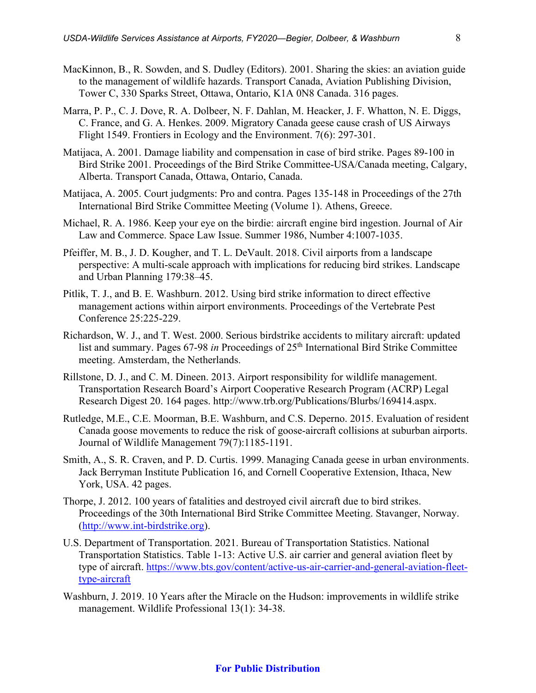- MacKinnon, B., R. Sowden, and S. Dudley (Editors). 2001. Sharing the skies: an aviation guide to the management of wildlife hazards. Transport Canada, Aviation Publishing Division, Tower C, 330 Sparks Street, Ottawa, Ontario, K1A 0N8 Canada. 316 pages.
- Marra, P. P., C. J. Dove, R. A. Dolbeer, N. F. Dahlan, M. Heacker, J. F. Whatton, N. E. Diggs, C. France, and G. A. Henkes. 2009. Migratory Canada geese cause crash of US Airways Flight 1549. Frontiers in Ecology and the Environment. 7(6): 297-301.
- Matijaca, A. 2001. Damage liability and compensation in case of bird strike. Pages 89-100 in Bird Strike 2001. Proceedings of the Bird Strike Committee-USA/Canada meeting, Calgary, Alberta. Transport Canada, Ottawa, Ontario, Canada.
- Matijaca, A. 2005. Court judgments: Pro and contra. Pages 135-148 in Proceedings of the 27th International Bird Strike Committee Meeting (Volume 1). Athens, Greece.
- Michael, R. A. 1986. Keep your eye on the birdie: aircraft engine bird ingestion. Journal of Air Law and Commerce. Space Law Issue. Summer 1986, Number 4:1007-1035.
- Pfeiffer, M. B., J. D. Kougher, and T. L. DeVault. 2018. Civil airports from a landscape perspective: A multi-scale approach with implications for reducing bird strikes. Landscape and Urban Planning 179:38–45.
- Pitlik, T. J., and B. E. Washburn. 2012. Using bird strike information to direct effective management actions within airport environments. Proceedings of the Vertebrate Pest Conference 25:225-229.
- Richardson, W. J., and T. West. 2000. Serious birdstrike accidents to military aircraft: updated list and summary. Pages 67-98 *in* Proceedings of 25<sup>th</sup> International Bird Strike Committee meeting. Amsterdam, the Netherlands.
- Rillstone, D. J., and C. M. Dineen. 2013. Airport responsibility for wildlife management. Transportation Research Board's Airport Cooperative Research Program (ACRP) Legal Research Digest 20. 164 pages. http://www.trb.org/Publications/Blurbs/169414.aspx.
- Rutledge, M.E., C.E. Moorman, B.E. Washburn, and C.S. Deperno. 2015. [Evaluation of resident](http://www.aphis.usda.gov/wildlife_damage/nwrc/publications/15pubs/15-065%20washburn.pdf)  [Canada goose movements to reduce the risk of goose-aircraft collisions at suburban airports.](http://www.aphis.usda.gov/wildlife_damage/nwrc/publications/15pubs/15-065%20washburn.pdf) Journal of Wildlife Management 79(7):1185-1191.
- Smith, A., S. R. Craven, and P. D. Curtis. 1999. Managing Canada geese in urban environments. Jack Berryman Institute Publication 16, and Cornell Cooperative Extension, Ithaca, New York, USA. 42 pages.
- Thorpe, J. 2012. 100 years of fatalities and destroyed civil aircraft due to bird strikes. Proceedings of the 30th International Bird Strike Committee Meeting. Stavanger, Norway. [\(http://www.int-birdstrike.org\)](http://www.int-birdstrike.org/).
- U.S. Department of Transportation. 2021. Bureau of Transportation Statistics. National Transportation Statistics. Table 1-13: Active U.S. air carrier and general aviation fleet by type of aircraft. [https://www.bts.gov/content/active-us-air-carrier-and-general-aviation-fleet](https://www.bts.gov/content/active-us-air-carrier-and-general-aviation-fleet-type-aircraft)[type-aircraft](https://www.bts.gov/content/active-us-air-carrier-and-general-aviation-fleet-type-aircraft)
- Washburn, J. 2019. 10 Years after the Miracle on the Hudson: improvements in wildlife strike management. Wildlife Professional 13(1): 34-38.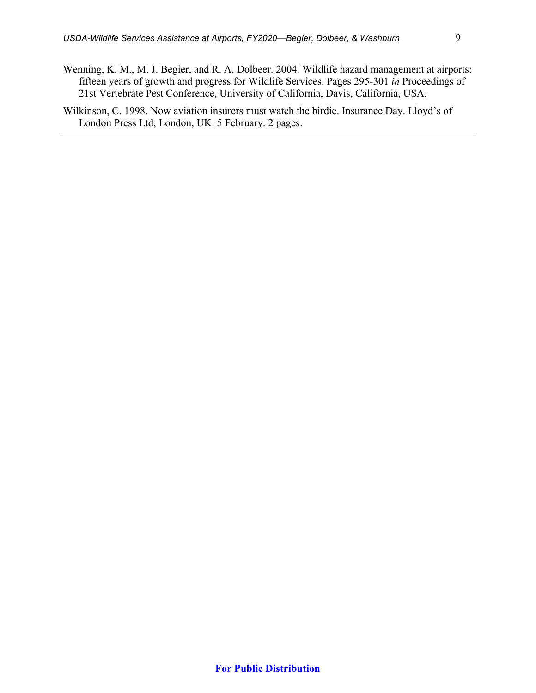- Wenning, K. M., M. J. Begier, and R. A. Dolbeer. 2004. Wildlife hazard management at airports: fifteen years of growth and progress for Wildlife Services. Pages 295-301 *in* Proceedings of 21st Vertebrate Pest Conference, University of California, Davis, California, USA.
- Wilkinson, C. 1998. Now aviation insurers must watch the birdie. Insurance Day. Lloyd's of London Press Ltd, London, UK. 5 February. 2 pages.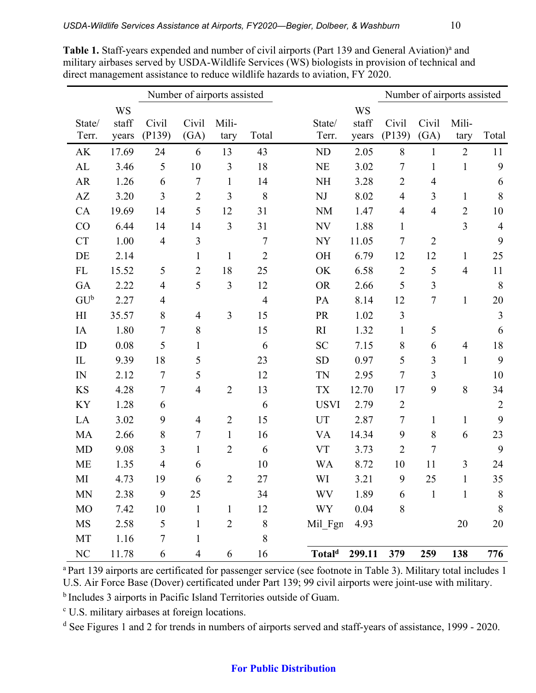|                        |                             |                  | Number of airports assisted |                |                |                        |                             |                 |                | Number of airports assisted |                |
|------------------------|-----------------------------|------------------|-----------------------------|----------------|----------------|------------------------|-----------------------------|-----------------|----------------|-----------------------------|----------------|
| State/<br>Terr.        | <b>WS</b><br>staff<br>years | Civil<br>(P139)  | Civil<br>(GA)               | Mili-<br>tary  | Total          | State/<br>Terr.        | <b>WS</b><br>staff<br>years | Civil<br>(P139) | Civil<br>(GA)  | Mili-<br>tary               | Total          |
| AK                     | 17.69                       | 24               | 6                           | 13             | 43             | ND                     | 2.05                        | 8               | $\mathbf{1}$   | $\overline{2}$              | 11             |
| AL                     | 3.46                        | 5                | 10                          | $\mathfrak{Z}$ | 18             | <b>NE</b>              | 3.02                        | $\tau$          | $\mathbf{1}$   | $\mathbf{1}$                | 9              |
| AR                     | 1.26                        | 6                | $\overline{7}$              | $\mathbf{1}$   | 14             | <b>NH</b>              | 3.28                        | $\overline{2}$  | $\overline{4}$ |                             | 6              |
| $\mathbf{A}\mathbf{Z}$ | 3.20                        | 3                | $\overline{2}$              | 3              | 8              | $\mathbf{N}\mathbf{J}$ | 8.02                        | $\overline{4}$  | 3              | $\mathbf{1}$                | $\,8\,$        |
| CA                     | 19.69                       | 14               | 5                           | 12             | 31             | <b>NM</b>              | 1.47                        | $\overline{4}$  | $\overline{4}$ | $\overline{2}$              | 10             |
| CO                     | 6.44                        | 14               | 14                          | 3              | 31             | <b>NV</b>              | 1.88                        | $\mathbf{1}$    |                | 3                           | $\overline{4}$ |
| <b>CT</b>              | 1.00                        | $\overline{4}$   | 3                           |                | $\overline{7}$ | <b>NY</b>              | 11.05                       | $\overline{7}$  | $\overline{2}$ |                             | 9              |
| DE                     | 2.14                        |                  | $\mathbf{1}$                | $\mathbf{1}$   | $\overline{2}$ | OH                     | 6.79                        | 12              | 12             | $\mathbf{1}$                | 25             |
| FL                     | 15.52                       | 5                | $\overline{2}$              | 18             | 25             | OK                     | 6.58                        | $\overline{2}$  | 5              | $\overline{4}$              | 11             |
| GA                     | 2.22                        | $\overline{4}$   | 5                           | 3              | 12             | <b>OR</b>              | 2.66                        | 5               | 3              |                             | 8              |
| $GU^b$                 | 2.27                        | $\overline{4}$   |                             |                | $\overline{4}$ | PA                     | 8.14                        | 12              | $\overline{7}$ | $\mathbbm{1}$               | 20             |
| H <sub>I</sub>         | 35.57                       | 8                | $\overline{4}$              | $\overline{3}$ | 15             | PR                     | 1.02                        | $\mathfrak{Z}$  |                |                             | $\mathfrak{Z}$ |
| IA                     | 1.80                        | $\boldsymbol{7}$ | $\,8\,$                     |                | 15             | R1                     | 1.32                        | $\mathbf{1}$    | 5              |                             | 6              |
| ID                     | 0.08                        | 5                | $\mathbf{1}$                |                | 6              | <b>SC</b>              | 7.15                        | 8               | 6              | $\overline{4}$              | 18             |
| $\mathcal{I}$          | 9.39                        | 18               | 5                           |                | 23             | <b>SD</b>              | 0.97                        | 5               | 3              | $\mathbf{1}$                | 9              |
| IN                     | 2.12                        | $\overline{7}$   | 5                           |                | 12             | <b>TN</b>              | 2.95                        | $\overline{7}$  | 3              |                             | 10             |
| <b>KS</b>              | 4.28                        | $\boldsymbol{7}$ | $\overline{4}$              | $\overline{2}$ | 13             | <b>TX</b>              | 12.70                       | 17              | 9              | 8                           | 34             |
| KY                     | 1.28                        | 6                |                             |                | 6              | <b>USVI</b>            | 2.79                        | $\overline{2}$  |                |                             | $\overline{2}$ |
| LA                     | 3.02                        | 9                | $\overline{4}$              | $\overline{2}$ | 15             | UT                     | 2.87                        | $\overline{7}$  | $\mathbf{1}$   | $\mathbf{1}$                | 9              |
| MA                     | 2.66                        | $8\,$            | $\overline{7}$              | $\mathbf{1}$   | 16             | <b>VA</b>              | 14.34                       | 9               | $\,8\,$        | 6                           | 23             |
| <b>MD</b>              | 9.08                        | 3                | $\mathbf{1}$                | $\overline{2}$ | 6              | <b>VT</b>              | 3.73                        | $\overline{2}$  | $\overline{7}$ |                             | 9              |
| <b>ME</b>              | 1.35                        | $\overline{4}$   | 6                           |                | 10             | <b>WA</b>              | 8.72                        | 10              | 11             | 3                           | 24             |
| MI                     | 4.73                        | 19               | 6                           | $\overline{2}$ | 27             | WI                     | 3.21                        | 9               | 25             | 1                           | 35             |
| $\mbox{MN}$            | 2.38                        | 9                | 25                          |                | 34             | <b>WV</b>              | 1.89                        | 6               | $\mathbf{1}$   | 1                           | $8\,$          |
| <b>MO</b>              | 7.42                        | 10               | $\mathbf{1}$                | $\mathbf{1}$   | 12             | <b>WY</b>              | 0.04                        | 8               |                |                             | 8              |
| <b>MS</b>              | 2.58                        | 5                | $\mathbf{1}$                | $\overline{2}$ | $\,8\,$        | Mil_Fgn                | 4.93                        |                 |                | 20                          | 20             |
| MT                     | 1.16                        | $\overline{7}$   | $\mathbf{1}$                |                | 8              |                        |                             |                 |                |                             |                |
| NC                     | 11.78                       | 6                | $\overline{\mathcal{A}}$    | 6              | 16             | Total <sup>d</sup>     | 299.11                      | 379             | 259            | 138                         | 776            |

Table 1. Staff-years expended and number of civil airports (Part 139 and General Aviation)<sup>a</sup> and military airbases served by USDA-Wildlife Services (WS) biologists in provision of technical and direct management assistance to reduce wildlife hazards to aviation, FY 2020.

<sup>a</sup> Part 139 airports are certificated for passenger service (see footnote in Table 3). Military total includes 1 U.S. Air Force Base (Dover) certificated under Part 139; 99 civil airports were joint-use with military.

b Includes 3 airports in Pacific Island Territories outside of Guam.

<sup>c</sup> U.S. military airbases at foreign locations.

<sup>d</sup> See Figures 1 and 2 for trends in numbers of airports served and staff-years of assistance, 1999 - 2020.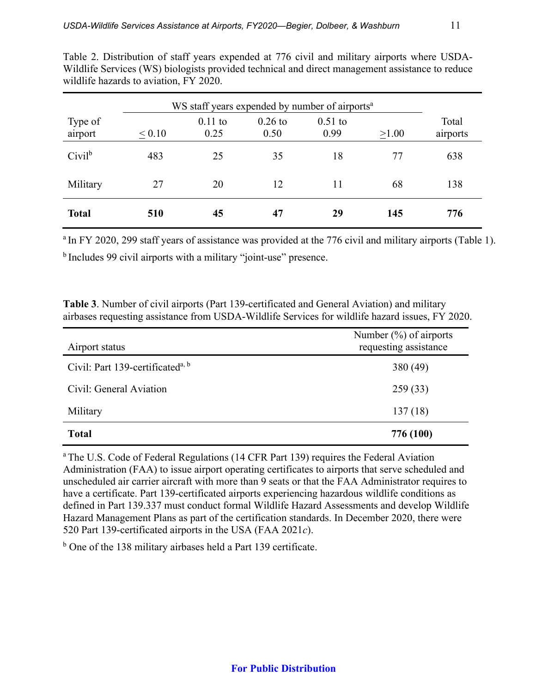|                    | WS staff years expended by number of airports <sup>a</sup> |                   |                   |                   |       |                   |
|--------------------|------------------------------------------------------------|-------------------|-------------------|-------------------|-------|-------------------|
| Type of<br>airport | < 0.10                                                     | $0.11$ to<br>0.25 | $0.26$ to<br>0.50 | $0.51$ to<br>0.99 | >1.00 | Total<br>airports |
| $Civil^b$          | 483                                                        | 25                | 35                | 18                | 77    | 638               |
| Military           | 27                                                         | 20                | 12                | 11                | 68    | 138               |
| <b>Total</b>       | 510                                                        | 45                | 47                | 29                | 145   | 776               |

Table 2. Distribution of staff years expended at 776 civil and military airports where USDA-Wildlife Services (WS) biologists provided technical and direct management assistance to reduce wildlife hazards to aviation, FY 2020.

<sup>a</sup> In FY 2020, 299 staff years of assistance was provided at the 776 civil and military airports (Table 1). b Includes 99 civil airports with a military "joint-use" presence.

**Table 3**. Number of civil airports (Part 139-certificated and General Aviation) and military airbases requesting assistance from USDA-Wildlife Services for wildlife hazard issues, FY 2020.

| Airport status                               | Number $(\%)$ of airports<br>requesting assistance |
|----------------------------------------------|----------------------------------------------------|
| Civil: Part 139-certificated <sup>a, b</sup> | 380 (49)                                           |
| Civil: General Aviation                      | 259(33)                                            |
| Military                                     | 137(18)                                            |
| <b>Total</b>                                 | 776 (100)                                          |

<sup>a</sup> The U.S. Code of Federal Regulations (14 CFR Part 139) requires the Federal Aviation Administration (FAA) to issue airport operating certificates to airports that serve scheduled and unscheduled air carrier aircraft with more than 9 seats or that the FAA Administrator requires to have a certificate. Part 139-certificated airports experiencing hazardous wildlife conditions as defined in Part 139.337 must conduct formal Wildlife Hazard Assessments and develop Wildlife Hazard Management Plans as part of the certification standards. In December 2020, there were 520 Part 139-certificated airports in the USA (FAA 2021*c*).

<sup>b</sup> One of the 138 military airbases held a Part 139 certificate.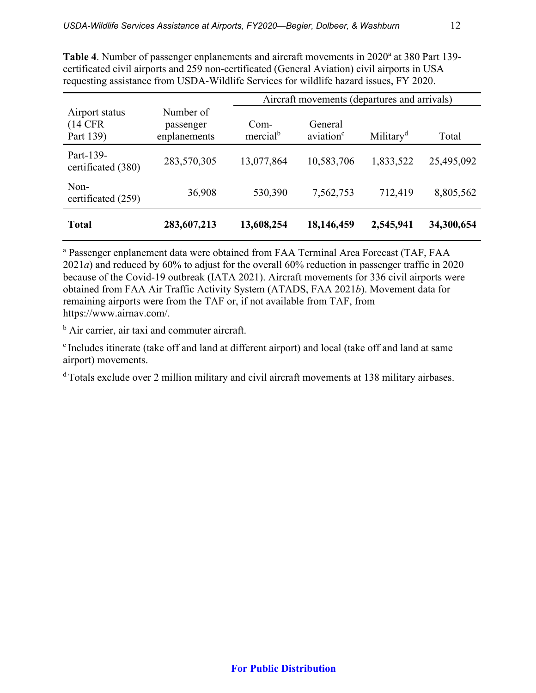|                                          |                                        | Aircraft movements (departures and arrivals) |                                  |                       |            |  |  |
|------------------------------------------|----------------------------------------|----------------------------------------------|----------------------------------|-----------------------|------------|--|--|
| Airport status<br>$(14$ CFR<br>Part 139) | Number of<br>passenger<br>enplanements | Com-<br>mercial <sup>b</sup>                 | General<br>aviation <sup>c</sup> | Military <sup>d</sup> | Total      |  |  |
| Part-139-<br>certificated (380)          | 283,570,305                            | 13,077,864                                   | 10,583,706                       | 1,833,522             | 25,495,092 |  |  |
| Non-<br>certificated (259)               | 36,908                                 | 530,390                                      | 7,562,753                        | 712,419               | 8,805,562  |  |  |
| <b>Total</b>                             | 283,607,213                            | 13,608,254                                   | 18,146,459                       | 2,545,941             | 34,300,654 |  |  |

Table 4. Number of passenger enplanements and aircraft movements in 2020<sup>a</sup> at 380 Part 139certificated civil airports and 259 non-certificated (General Aviation) civil airports in USA requesting assistance from USDA-Wildlife Services for wildlife hazard issues, FY 2020.

<sup>a</sup> Passenger enplanement data were obtained from FAA Terminal Area Forecast (TAF, FAA 2021*a*) and reduced by 60% to adjust for the overall 60% reduction in passenger traffic in 2020 because of the Covid-19 outbreak (IATA 2021). Aircraft movements for 336 civil airports were obtained from FAA Air Traffic Activity System (ATADS, FAA 2021*b*). Movement data for remaining airports were from the TAF or, if not available from TAF, from https://www.airnav.com/.

<sup>b</sup> Air carrier, air taxi and commuter aircraft.

<sup>c</sup> Includes itinerate (take off and land at different airport) and local (take off and land at same airport) movements.

<sup>d</sup> Totals exclude over 2 million military and civil aircraft movements at 138 military airbases.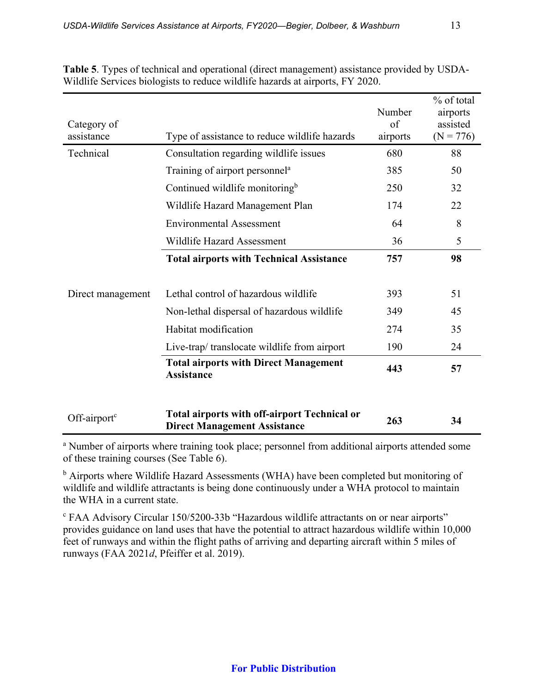| Category of<br>assistance | Type of assistance to reduce wildlife hazards                                              | Number<br>of<br>airports | % of total<br>airports<br>assisted<br>$(N = 776)$ |
|---------------------------|--------------------------------------------------------------------------------------------|--------------------------|---------------------------------------------------|
| Technical                 | Consultation regarding wildlife issues                                                     | 680                      | 88                                                |
|                           | Training of airport personnel <sup>a</sup>                                                 | 385                      | 50                                                |
|                           | Continued wildlife monitoring <sup>b</sup>                                                 | 250                      | 32                                                |
|                           | Wildlife Hazard Management Plan                                                            | 174                      | 22                                                |
|                           | <b>Environmental Assessment</b>                                                            | 64                       | 8                                                 |
|                           | Wildlife Hazard Assessment                                                                 | 36                       | 5                                                 |
|                           | <b>Total airports with Technical Assistance</b>                                            | 757                      | 98                                                |
| Direct management         | Lethal control of hazardous wildlife                                                       | 393                      | 51                                                |
|                           | Non-lethal dispersal of hazardous wildlife                                                 | 349                      | 45                                                |
|                           | Habitat modification                                                                       | 274                      | 35                                                |
|                           | Live-trap/ translocate wildlife from airport                                               | 190                      | 24                                                |
|                           | <b>Total airports with Direct Management</b><br><b>Assistance</b>                          | 443                      | 57                                                |
| Off-airport <sup>c</sup>  | <b>Total airports with off-airport Technical or</b><br><b>Direct Management Assistance</b> | 263                      | 34                                                |

**Table 5**. Types of technical and operational (direct management) assistance provided by USDA-Wildlife Services biologists to reduce wildlife hazards at airports, FY 2020.

<sup>a</sup> Number of airports where training took place; personnel from additional airports attended some of these training courses (See Table 6).

<sup>b</sup> Airports where Wildlife Hazard Assessments (WHA) have been completed but monitoring of wildlife and wildlife attractants is being done continuously under a WHA protocol to maintain the WHA in a current state.

<sup>c</sup> FAA Advisory Circular 150/5200-33b "Hazardous wildlife attractants on or near airports" provides guidance on land uses that have the potential to attract hazardous wildlife within 10,000 feet of runways and within the flight paths of arriving and departing aircraft within 5 miles of runways (FAA 2021*d*, Pfeiffer et al. 2019).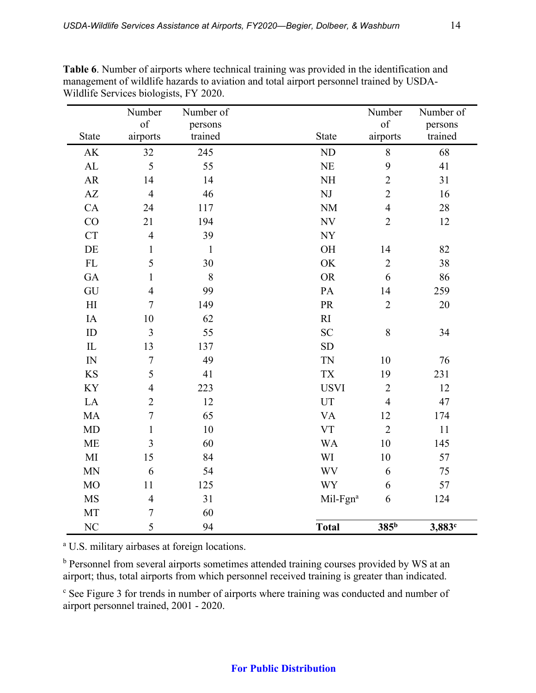|                            | Number         | Number of    |                          | Number           | Number of |
|----------------------------|----------------|--------------|--------------------------|------------------|-----------|
|                            | of             | persons      |                          | of               | persons   |
| State                      | airports       | trained      | <b>State</b>             | airports         | trained   |
| $\mathbf{A}\mathbf{K}$     | 32             | 245          | ND                       | $\,8\,$          | 68        |
| $\mathbf{AL}$              | 5              | 55           | $\rm NE$                 | 9                | 41        |
| ${\sf AR}$                 | 14             | 14           | $\rm NH$                 | $\overline{2}$   | 31        |
| $\mathbf{A}\mathbf{Z}$     | $\overline{4}$ | 46           | $\mathbf{N}\mathbf{J}$   | $\overline{c}$   | 16        |
| CA                         | 24             | 117          | NM                       | $\overline{4}$   | 28        |
| CO                         | 21             | 194          | $\ensuremath{\text{NV}}$ | $\overline{2}$   | 12        |
| CT                         | $\overline{4}$ | 39           | $\ensuremath{\text{NY}}$ |                  |           |
| $\rm DE$                   | $\mathbf{1}$   | $\mathbf{1}$ | OH                       | 14               | 82        |
| ${\rm FL}$                 | 5              | 30           | OK                       | $\overline{2}$   | 38        |
| GA                         | $\mathbf{1}$   | $\,8\,$      | <b>OR</b>                | 6                | 86        |
| GU                         | $\overline{4}$ | 99           | PA                       | 14               | 259       |
| $\mathop{\rm HI}\nolimits$ | $\overline{7}$ | 149          | PR                       | $\overline{2}$   | 20        |
| IA                         | 10             | 62           | RI                       |                  |           |
| ID                         | 3              | 55           | <b>SC</b>                | $\,8\,$          | 34        |
| ${\rm IL}$                 | 13             | 137          | SD                       |                  |           |
| IN                         | $\overline{7}$ | 49           | TN                       | 10               | 76        |
| <b>KS</b>                  | 5              | 41           | $\mathcal{T}\mathcal{X}$ | 19               | 231       |
| KY                         | $\overline{4}$ | 223          | <b>USVI</b>              | $\overline{2}$   | 12        |
| LA                         | $\overline{2}$ | 12           | UT                       | $\overline{4}$   | 47        |
| MA                         | $\overline{7}$ | 65           | <b>VA</b>                | 12               | 174       |
| <b>MD</b>                  | $\mathbf{1}$   | 10           | <b>VT</b>                | $\overline{2}$   | $11\,$    |
| <b>ME</b>                  | $\overline{3}$ | 60           | <b>WA</b>                | 10               | 145       |
| $\mathbf{M}\mathbf{I}$     | 15             | 84           | WI                       | 10               | 57        |
| <b>MN</b>                  | 6              | 54           | <b>WV</b>                | 6                | 75        |
| <b>MO</b>                  | 11             | 125          | <b>WY</b>                | 6                | 57        |
| $\rm MS$                   | $\overline{4}$ | 31           | Mil-Fgn <sup>a</sup>     | $\boldsymbol{6}$ | 124       |
| MT                         | $\overline{7}$ | 60           |                          |                  |           |
| NC                         | 5              | 94           | <b>Total</b>             | 385 <sup>b</sup> | 3,883c    |

**Table 6**. Number of airports where technical training was provided in the identification and management of wildlife hazards to aviation and total airport personnel trained by USDA-Wildlife Services biologists, FY 2020.

<sup>a</sup> U.S. military airbases at foreign locations.

b Personnel from several airports sometimes attended training courses provided by WS at an airport; thus, total airports from which personnel received training is greater than indicated.

<sup>c</sup> See Figure 3 for trends in number of airports where training was conducted and number of airport personnel trained, 2001 - 2020.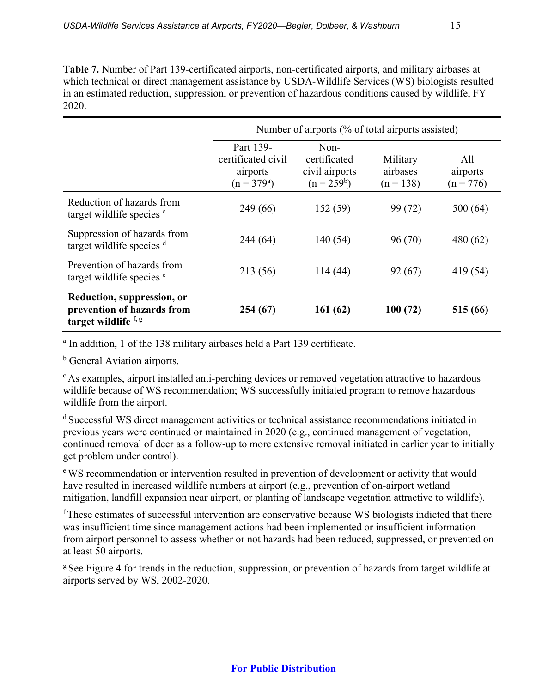**Table 7.** Number of Part 139-certificated airports, non-certificated airports, and military airbases at which technical or direct management assistance by USDA-Wildlife Services (WS) biologists resulted in an estimated reduction, suppression, or prevention of hazardous conditions caused by wildlife, FY 2020.

|                                                                                  | Number of airports (% of total airports assisted)            |                                                           |                                     |                                |  |
|----------------------------------------------------------------------------------|--------------------------------------------------------------|-----------------------------------------------------------|-------------------------------------|--------------------------------|--|
|                                                                                  | Part 139-<br>certificated civil<br>airports<br>$(n = 379^a)$ | $Non-$<br>certificated<br>civil airports<br>$(n = 259^b)$ | Military<br>airbases<br>$(n = 138)$ | All<br>airports<br>$(n = 776)$ |  |
| Reduction of hazards from<br>target wildlife species <sup>c</sup>                | 249 (66)                                                     | 152(59)                                                   | 99 (72)                             | 500(64)                        |  |
| Suppression of hazards from<br>target wildlife species <sup>d</sup>              | 244(64)                                                      | 140(54)                                                   | 96(70)                              | 480(62)                        |  |
| Prevention of hazards from<br>target wildlife species <sup>e</sup>               | 213 (56)                                                     | 114(44)                                                   | 92(67)                              | 419(54)                        |  |
| Reduction, suppression, or<br>prevention of hazards from<br>target wildlife f, g | 254 (67)                                                     | 161(62)                                                   | 100(72)                             | 515 (66)                       |  |

<sup>a</sup> In addition, 1 of the 138 military airbases held a Part 139 certificate.

**b** General Aviation airports.

<sup>c</sup> As examples, airport installed anti-perching devices or removed vegetation attractive to hazardous wildlife because of WS recommendation; WS successfully initiated program to remove hazardous wildlife from the airport.

<sup>d</sup> Successful WS direct management activities or technical assistance recommendations initiated in previous years were continued or maintained in 2020 (e.g., continued management of vegetation, continued removal of deer as a follow-up to more extensive removal initiated in earlier year to initially get problem under control).

<sup>e</sup> WS recommendation or intervention resulted in prevention of development or activity that would have resulted in increased wildlife numbers at airport (e.g., prevention of on-airport wetland mitigation, landfill expansion near airport, or planting of landscape vegetation attractive to wildlife).

<sup>f</sup> These estimates of successful intervention are conservative because WS biologists indicted that there was insufficient time since management actions had been implemented or insufficient information from airport personnel to assess whether or not hazards had been reduced, suppressed, or prevented on at least 50 airports.

<sup>g</sup> See Figure 4 for trends in the reduction, suppression, or prevention of hazards from target wildlife at airports served by WS, 2002-2020.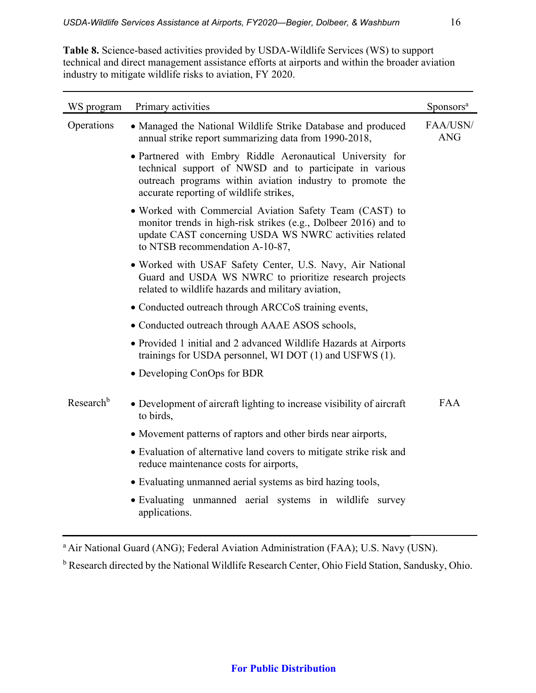**Table 8.** Science-based activities provided by USDA-Wildlife Services (WS) to support technical and direct management assistance efforts at airports and within the broader aviation industry to mitigate wildlife risks to aviation, FY 2020.

| WS program            | Primary activities                                                                                                                                                                                                           | Sponsors <sup>a</sup>  |
|-----------------------|------------------------------------------------------------------------------------------------------------------------------------------------------------------------------------------------------------------------------|------------------------|
| Operations            | • Managed the National Wildlife Strike Database and produced<br>annual strike report summarizing data from 1990-2018,                                                                                                        | FAA/USN/<br><b>ANG</b> |
|                       | · Partnered with Embry Riddle Aeronautical University for<br>technical support of NWSD and to participate in various<br>outreach programs within aviation industry to promote the<br>accurate reporting of wildlife strikes, |                        |
|                       | • Worked with Commercial Aviation Safety Team (CAST) to<br>monitor trends in high-risk strikes (e.g., Dolbeer 2016) and to<br>update CAST concerning USDA WS NWRC activities related<br>to NTSB recommendation A-10-87,      |                        |
|                       | · Worked with USAF Safety Center, U.S. Navy, Air National<br>Guard and USDA WS NWRC to prioritize research projects<br>related to wildlife hazards and military aviation,                                                    |                        |
|                       | • Conducted outreach through ARCCoS training events,                                                                                                                                                                         |                        |
|                       | • Conducted outreach through AAAE ASOS schools,                                                                                                                                                                              |                        |
|                       | • Provided 1 initial and 2 advanced Wildlife Hazards at Airports<br>trainings for USDA personnel, WI DOT (1) and USFWS (1).                                                                                                  |                        |
|                       | • Developing ConOps for BDR                                                                                                                                                                                                  |                        |
| Research <sup>b</sup> | • Development of aircraft lighting to increase visibility of aircraft<br>to birds.                                                                                                                                           | <b>FAA</b>             |
|                       | • Movement patterns of raptors and other birds near airports,                                                                                                                                                                |                        |
|                       | • Evaluation of alternative land covers to mitigate strike risk and<br>reduce maintenance costs for airports,                                                                                                                |                        |
|                       | • Evaluating unmanned aerial systems as bird hazing tools,                                                                                                                                                                   |                        |
|                       | · Evaluating unmanned aerial systems in wildlife survey<br>applications.                                                                                                                                                     |                        |

<sup>a</sup> Air National Guard (ANG); Federal Aviation Administration (FAA); U.S. Navy (USN).

<sup>b</sup> Research directed by the National Wildlife Research Center, Ohio Field Station, Sandusky, Ohio.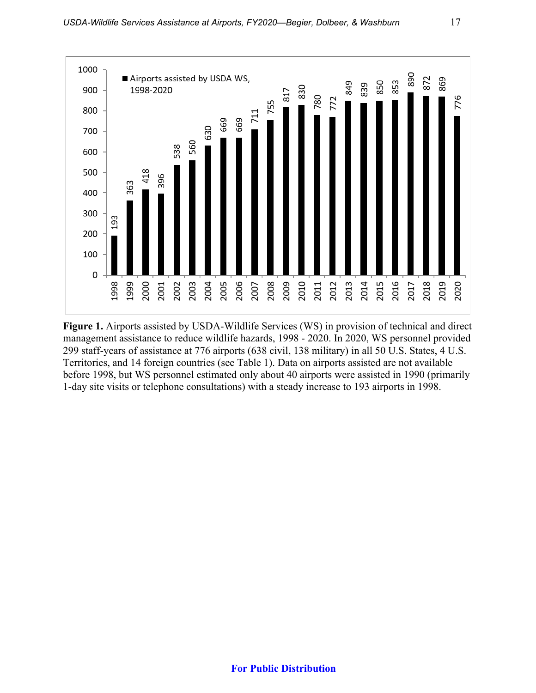

**Figure 1.** Airports assisted by USDA-Wildlife Services (WS) in provision of technical and direct management assistance to reduce wildlife hazards, 1998 - 2020. In 2020, WS personnel provided 299 staff-years of assistance at 776 airports (638 civil, 138 military) in all 50 U.S. States, 4 U.S. Territories, and 14 foreign countries (see Table 1). Data on airports assisted are not available before 1998, but WS personnel estimated only about 40 airports were assisted in 1990 (primarily 1-day site visits or telephone consultations) with a steady increase to 193 airports in 1998.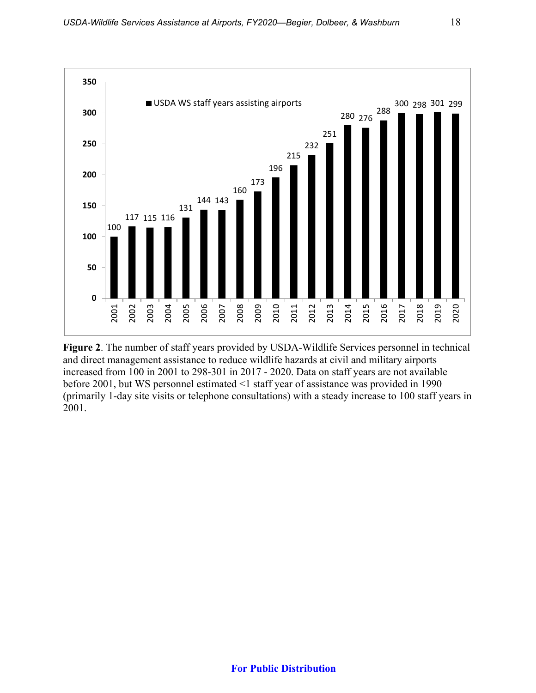

**Figure 2**. The number of staff years provided by USDA-Wildlife Services personnel in technical and direct management assistance to reduce wildlife hazards at civil and military airports increased from 100 in 2001 to 298-301 in 2017 - 2020. Data on staff years are not available before 2001, but WS personnel estimated <1 staff year of assistance was provided in 1990 (primarily 1-day site visits or telephone consultations) with a steady increase to 100 staff years in 2001.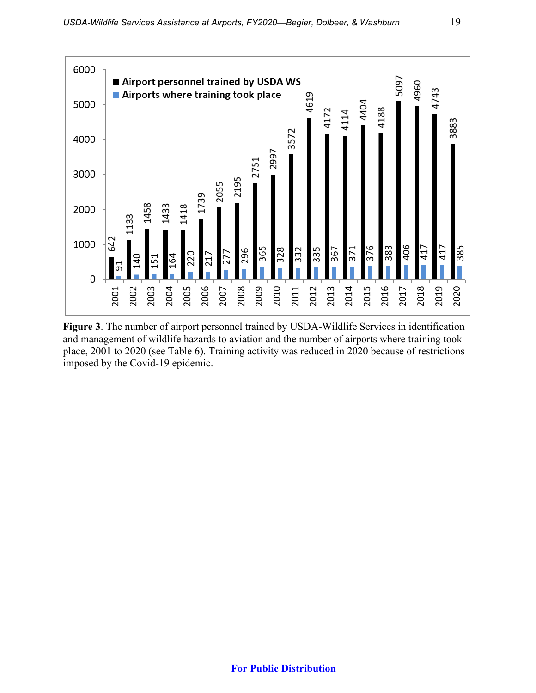

**Figure 3**. The number of airport personnel trained by USDA-Wildlife Services in identification and management of wildlife hazards to aviation and the number of airports where training took place, 2001 to 2020 (see Table 6). Training activity was reduced in 2020 because of restrictions imposed by the Covid-19 epidemic.